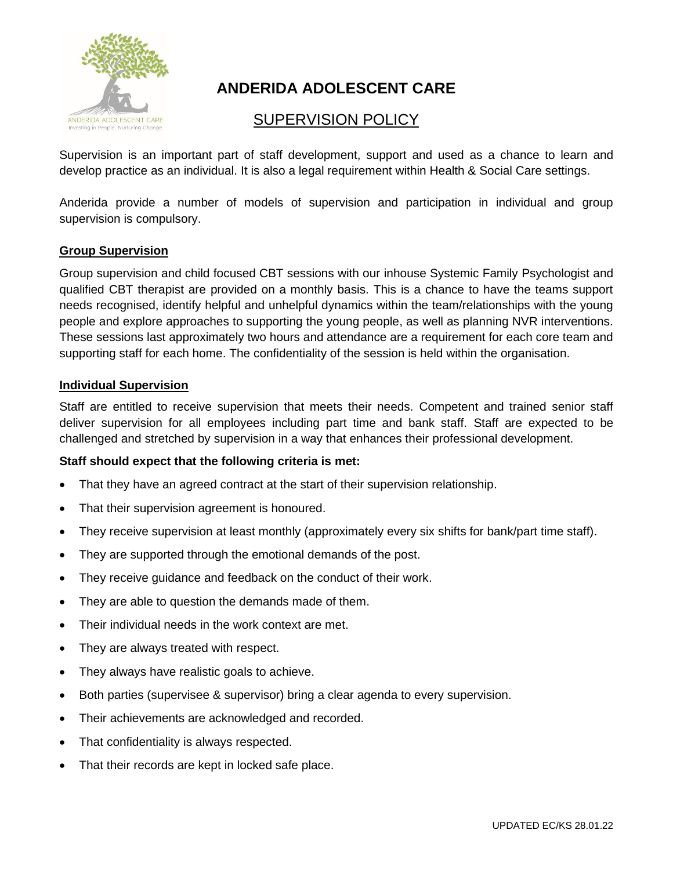

# **ANDERIDA ADOLESCENT CARE**

# SUPERVISION POLICY

Supervision is an important part of staff development, support and used as a chance to learn and develop practice as an individual. It is also a legal requirement within Health & Social Care settings.

Anderida provide a number of models of supervision and participation in individual and group supervision is compulsory.

# **Group Supervision**

Group supervision and child focused CBT sessions with our inhouse Systemic Family Psychologist and qualified CBT therapist are provided on a monthly basis. This is a chance to have the teams support needs recognised, identify helpful and unhelpful dynamics within the team/relationships with the young people and explore approaches to supporting the young people, as well as planning NVR interventions. These sessions last approximately two hours and attendance are a requirement for each core team and supporting staff for each home. The confidentiality of the session is held within the organisation.

# **Individual Supervision**

Staff are entitled to receive supervision that meets their needs. Competent and trained senior staff deliver supervision for all employees including part time and bank staff. Staff are expected to be challenged and stretched by supervision in a way that enhances their professional development.

# **Staff should expect that the following criteria is met:**

- That they have an agreed contract at the start of their supervision relationship.
- That their supervision agreement is honoured.
- They receive supervision at least monthly (approximately every six shifts for bank/part time staff).
- They are supported through the emotional demands of the post.
- They receive guidance and feedback on the conduct of their work.
- They are able to question the demands made of them.
- Their individual needs in the work context are met.
- They are always treated with respect.
- They always have realistic goals to achieve.
- Both parties (supervisee & supervisor) bring a clear agenda to every supervision.
- Their achievements are acknowledged and recorded.
- That confidentiality is always respected.
- That their records are kept in locked safe place.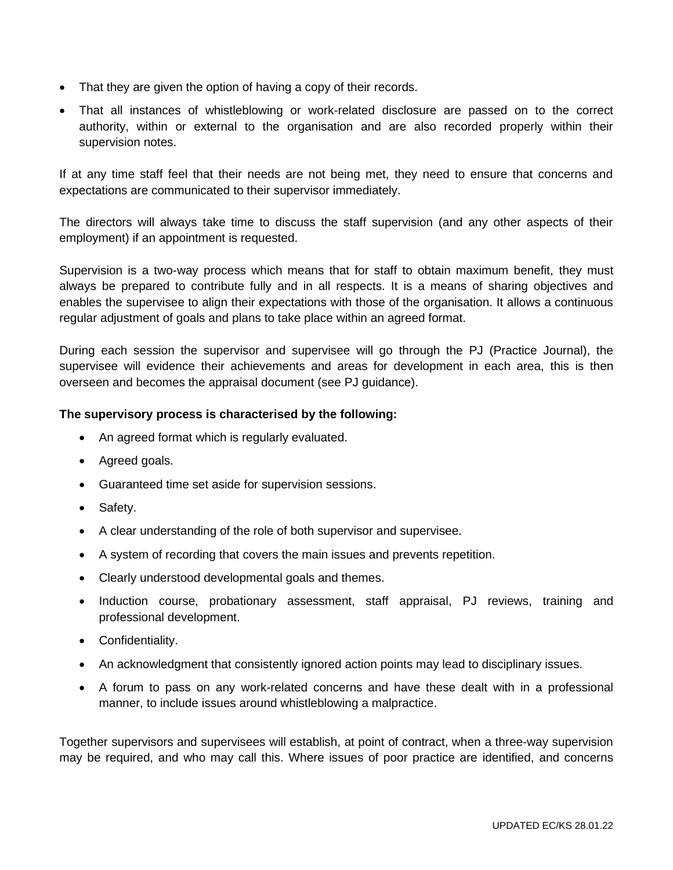- That they are given the option of having a copy of their records.
- That all instances of whistleblowing or work-related disclosure are passed on to the correct authority, within or external to the organisation and are also recorded properly within their supervision notes.

If at any time staff feel that their needs are not being met, they need to ensure that concerns and expectations are communicated to their supervisor immediately.

The directors will always take time to discuss the staff supervision (and any other aspects of their employment) if an appointment is requested.

Supervision is a two-way process which means that for staff to obtain maximum benefit, they must always be prepared to contribute fully and in all respects. It is a means of sharing objectives and enables the supervisee to align their expectations with those of the organisation. It allows a continuous regular adjustment of goals and plans to take place within an agreed format.

During each session the supervisor and supervisee will go through the PJ (Practice Journal), the supervisee will evidence their achievements and areas for development in each area, this is then overseen and becomes the appraisal document (see PJ guidance).

# **The supervisory process is characterised by the following:**

- An agreed format which is regularly evaluated.
- Agreed goals.
- Guaranteed time set aside for supervision sessions.
- Safety.
- A clear understanding of the role of both supervisor and supervisee.
- A system of recording that covers the main issues and prevents repetition.
- Clearly understood developmental goals and themes.
- Induction course, probationary assessment, staff appraisal, PJ reviews, training and professional development.
- Confidentiality.
- An acknowledgment that consistently ignored action points may lead to disciplinary issues.
- A forum to pass on any work-related concerns and have these dealt with in a professional manner, to include issues around whistleblowing a malpractice.

Together supervisors and supervisees will establish, at point of contract, when a three-way supervision may be required, and who may call this. Where issues of poor practice are identified, and concerns